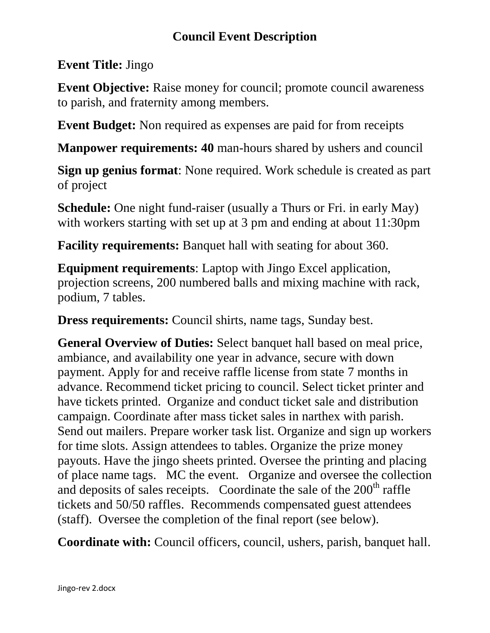## **Council Event Description**

## **Event Title:** Jingo

**Event Objective:** Raise money for council; promote council awareness to parish, and fraternity among members.

**Event Budget:** Non required as expenses are paid for from receipts

**Manpower requirements: 40** man-hours shared by ushers and council

**Sign up genius format**: None required. Work schedule is created as part of project

**Schedule:** One night fund-raiser (usually a Thurs or Fri. in early May) with workers starting with set up at 3 pm and ending at about 11:30pm

**Facility requirements:** Banquet hall with seating for about 360.

**Equipment requirements**: Laptop with Jingo Excel application, projection screens, 200 numbered balls and mixing machine with rack, podium, 7 tables.

**Dress requirements:** Council shirts, name tags, Sunday best.

**General Overview of Duties:** Select banquet hall based on meal price, ambiance, and availability one year in advance, secure with down payment. Apply for and receive raffle license from state 7 months in advance. Recommend ticket pricing to council. Select ticket printer and have tickets printed. Organize and conduct ticket sale and distribution campaign. Coordinate after mass ticket sales in narthex with parish. Send out mailers. Prepare worker task list. Organize and sign up workers for time slots. Assign attendees to tables. Organize the prize money payouts. Have the jingo sheets printed. Oversee the printing and placing of place name tags. MC the event. Organize and oversee the collection and deposits of sales receipts. Coordinate the sale of the  $200<sup>th</sup>$  raffle tickets and 50/50 raffles. Recommends compensated guest attendees (staff). Oversee the completion of the final report (see below).

**Coordinate with:** Council officers, council, ushers, parish, banquet hall.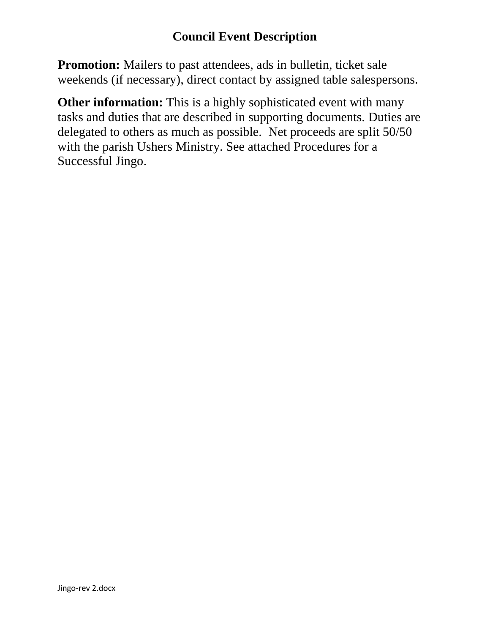## **Council Event Description**

**Promotion:** Mailers to past attendees, ads in bulletin, ticket sale weekends (if necessary), direct contact by assigned table salespersons.

**Other information:** This is a highly sophisticated event with many tasks and duties that are described in supporting documents. Duties are delegated to others as much as possible. Net proceeds are split 50/50 with the parish Ushers Ministry. See attached Procedures for a Successful Jingo.